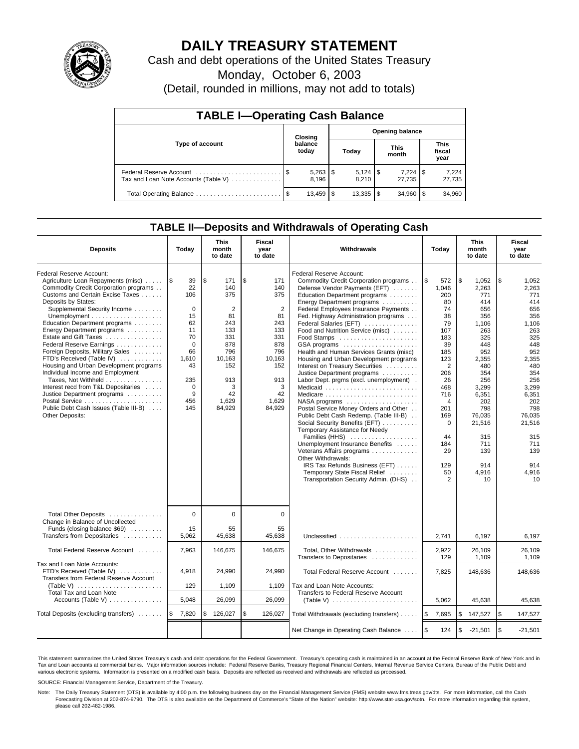

## **DAILY TREASURY STATEMENT**

Cash and debt operations of the United States Treasury

Monday, October 6, 2003

(Detail, rounded in millions, may not add to totals)

| <b>TABLE I-Operating Cash Balance</b>                           |         |                  |      |                        |  |                      |                               |                 |  |  |  |
|-----------------------------------------------------------------|---------|------------------|------|------------------------|--|----------------------|-------------------------------|-----------------|--|--|--|
|                                                                 | Closing |                  |      | <b>Opening balance</b> |  |                      |                               |                 |  |  |  |
| Type of account                                                 |         | balance<br>today |      | Today                  |  | <b>This</b><br>month | <b>This</b><br>fiscal<br>year |                 |  |  |  |
| Federal Reserve Account<br>Tax and Loan Note Accounts (Table V) |         | 8.196            |      | 8.210                  |  | 7,224<br>27.735      | 1\$                           | 7,224<br>27,735 |  |  |  |
| Total Operating Balance                                         | - \$    | 13,459           | l \$ | $13,335$ \\$           |  | 34.960               |                               | 34,960          |  |  |  |

### **TABLE II—Deposits and Withdrawals of Operating Cash**

| <b>Deposits</b>                                                                                                                                                                                                                                                                                                                                                                                                                                                                                                                                                                                                                                                                             | Today                                                                                                                                   | <b>This</b><br>month<br>to date                                                                                             | Fiscal<br>year<br>to date                                                                                                                | Withdrawals                                                                                                                                                                                                                                                                                                                                                                                                                                                                                                                                                                                                                                                                                                                                                                                                                                                                                                                                                                                                 | Today                                                                                                                                                                                                                               | <b>This</b><br>month<br>to date                                                                                                                                                                                    | Fiscal<br>year<br>to date                                                                                                                                                                                          |
|---------------------------------------------------------------------------------------------------------------------------------------------------------------------------------------------------------------------------------------------------------------------------------------------------------------------------------------------------------------------------------------------------------------------------------------------------------------------------------------------------------------------------------------------------------------------------------------------------------------------------------------------------------------------------------------------|-----------------------------------------------------------------------------------------------------------------------------------------|-----------------------------------------------------------------------------------------------------------------------------|------------------------------------------------------------------------------------------------------------------------------------------|-------------------------------------------------------------------------------------------------------------------------------------------------------------------------------------------------------------------------------------------------------------------------------------------------------------------------------------------------------------------------------------------------------------------------------------------------------------------------------------------------------------------------------------------------------------------------------------------------------------------------------------------------------------------------------------------------------------------------------------------------------------------------------------------------------------------------------------------------------------------------------------------------------------------------------------------------------------------------------------------------------------|-------------------------------------------------------------------------------------------------------------------------------------------------------------------------------------------------------------------------------------|--------------------------------------------------------------------------------------------------------------------------------------------------------------------------------------------------------------------|--------------------------------------------------------------------------------------------------------------------------------------------------------------------------------------------------------------------|
| Federal Reserve Account:<br>Agriculture Loan Repayments (misc)<br>Commodity Credit Corporation programs<br>Customs and Certain Excise Taxes<br>Deposits by States:<br>Supplemental Security Income<br>Unemployment $\dots\dots\dots\dots\dots\dots\dots$<br>Education Department programs<br>Energy Department programs<br>Estate and Gift Taxes<br>Federal Reserve Earnings<br>Foreign Deposits, Military Sales<br>FTD's Received (Table IV)<br>Housing and Urban Development programs<br>Individual Income and Employment<br>Taxes, Not Withheld<br>Interest recd from T&L Depositaries<br>Justice Department programs<br>Public Debt Cash Issues (Table III-B)<br><b>Other Deposits:</b> | 1\$<br>39<br>22<br>106<br>$\mathbf 0$<br>15<br>62<br>11<br>70<br>$\Omega$<br>66<br>1,610<br>43<br>235<br>$\mathbf 0$<br>9<br>456<br>145 | \$<br>171<br>140<br>375<br>2<br>81<br>243<br>133<br>331<br>878<br>796<br>10,163<br>152<br>913<br>3<br>42<br>1,629<br>84,929 | \$<br>171<br>140<br>375<br>$\overline{2}$<br>81<br>243<br>133<br>331<br>878<br>796<br>10,163<br>152<br>913<br>3<br>42<br>1,629<br>84,929 | Federal Reserve Account:<br>Commodity Credit Corporation programs<br>Defense Vendor Payments (EFT)<br>Education Department programs<br>Energy Department programs<br>Federal Employees Insurance Payments<br>Fed. Highway Administration programs<br>Federal Salaries (EFT)<br>Food and Nutrition Service (misc)<br>Food Stamps<br>GSA programs<br>Health and Human Services Grants (misc)<br>Housing and Urban Development programs<br>Interest on Treasury Securities<br>Justice Department programs<br>Labor Dept. prgms (excl. unemployment).<br>Medicaid<br>Medicare<br>$NASA$ programs $\ldots \ldots \ldots \ldots \ldots$<br>Postal Service Money Orders and Other<br>Public Debt Cash Redemp. (Table III-B)<br>Social Security Benefits (EFT)<br>Temporary Assistance for Needy<br>Families (HHS)<br>Unemployment Insurance Benefits<br>Veterans Affairs programs<br>Other Withdrawals:<br>IRS Tax Refunds Business (EFT)<br>Temporary State Fiscal Relief<br>Transportation Security Admin. (DHS) | l \$<br>572<br>1,046<br>200<br>80<br>74<br>38<br>79<br>107<br>183<br>39<br>185<br>123<br>$\overline{2}$<br>206<br>26<br>468<br>716<br>$\overline{4}$<br>201<br>169<br>$\mathbf 0$<br>44<br>184<br>29<br>129<br>50<br>$\overline{2}$ | \$<br>1,052<br>2,263<br>771<br>414<br>656<br>356<br>1,106<br>263<br>325<br>448<br>952<br>2,355<br>480<br>354<br>256<br>3,299<br>6,351<br>202<br>798<br>76,035<br>21,516<br>315<br>711<br>139<br>914<br>4,916<br>10 | \$<br>1,052<br>2,263<br>771<br>414<br>656<br>356<br>1,106<br>263<br>325<br>448<br>952<br>2,355<br>480<br>354<br>256<br>3.299<br>6,351<br>202<br>798<br>76,035<br>21,516<br>315<br>711<br>139<br>914<br>4,916<br>10 |
| Total Other Deposits<br>Change in Balance of Uncollected<br>Funds (closing balance \$69)                                                                                                                                                                                                                                                                                                                                                                                                                                                                                                                                                                                                    | $\Omega$<br>15                                                                                                                          | $\mathbf 0$<br>55                                                                                                           | 0<br>55                                                                                                                                  |                                                                                                                                                                                                                                                                                                                                                                                                                                                                                                                                                                                                                                                                                                                                                                                                                                                                                                                                                                                                             |                                                                                                                                                                                                                                     |                                                                                                                                                                                                                    |                                                                                                                                                                                                                    |
| Transfers from Depositaries<br>Total Federal Reserve Account                                                                                                                                                                                                                                                                                                                                                                                                                                                                                                                                                                                                                                | 5.062<br>7,963                                                                                                                          | 45,638<br>146,675                                                                                                           | 45.638<br>146,675                                                                                                                        | Unclassified<br>Total, Other Withdrawals                                                                                                                                                                                                                                                                                                                                                                                                                                                                                                                                                                                                                                                                                                                                                                                                                                                                                                                                                                    | 2.741<br>2,922                                                                                                                                                                                                                      | 6.197<br>26,109                                                                                                                                                                                                    | 6.197<br>26,109                                                                                                                                                                                                    |
| Tax and Loan Note Accounts:                                                                                                                                                                                                                                                                                                                                                                                                                                                                                                                                                                                                                                                                 |                                                                                                                                         |                                                                                                                             |                                                                                                                                          | Transfers to Depositaries                                                                                                                                                                                                                                                                                                                                                                                                                                                                                                                                                                                                                                                                                                                                                                                                                                                                                                                                                                                   | 129                                                                                                                                                                                                                                 | 1,109                                                                                                                                                                                                              | 1,109                                                                                                                                                                                                              |
| FTD's Received (Table IV)<br>Transfers from Federal Reserve Account                                                                                                                                                                                                                                                                                                                                                                                                                                                                                                                                                                                                                         | 4,918                                                                                                                                   | 24,990                                                                                                                      | 24,990                                                                                                                                   | Total Federal Reserve Account                                                                                                                                                                                                                                                                                                                                                                                                                                                                                                                                                                                                                                                                                                                                                                                                                                                                                                                                                                               | 7,825                                                                                                                                                                                                                               | 148,636                                                                                                                                                                                                            | 148,636                                                                                                                                                                                                            |
| (Table V) $\ldots \ldots \ldots \ldots \ldots \ldots$<br><b>Total Tax and Loan Note</b>                                                                                                                                                                                                                                                                                                                                                                                                                                                                                                                                                                                                     | 129                                                                                                                                     | 1,109                                                                                                                       | 1,109                                                                                                                                    | Tax and Loan Note Accounts:<br>Transfers to Federal Reserve Account                                                                                                                                                                                                                                                                                                                                                                                                                                                                                                                                                                                                                                                                                                                                                                                                                                                                                                                                         |                                                                                                                                                                                                                                     |                                                                                                                                                                                                                    |                                                                                                                                                                                                                    |
| Accounts (Table V)<br>5,048                                                                                                                                                                                                                                                                                                                                                                                                                                                                                                                                                                                                                                                                 |                                                                                                                                         | 26,099                                                                                                                      | 26,099                                                                                                                                   | (Table V) $\ldots \ldots \ldots \ldots \ldots \ldots \ldots$                                                                                                                                                                                                                                                                                                                                                                                                                                                                                                                                                                                                                                                                                                                                                                                                                                                                                                                                                | 5,062                                                                                                                                                                                                                               | 45,638                                                                                                                                                                                                             | 45,638                                                                                                                                                                                                             |
| Total Deposits (excluding transfers)                                                                                                                                                                                                                                                                                                                                                                                                                                                                                                                                                                                                                                                        | l \$<br>7,820                                                                                                                           | \$<br>126,027                                                                                                               | \$<br>126,027                                                                                                                            | Total Withdrawals (excluding transfers)                                                                                                                                                                                                                                                                                                                                                                                                                                                                                                                                                                                                                                                                                                                                                                                                                                                                                                                                                                     | ۱\$<br>7,695                                                                                                                                                                                                                        | \$<br>147,527                                                                                                                                                                                                      | \$<br>147,527                                                                                                                                                                                                      |
|                                                                                                                                                                                                                                                                                                                                                                                                                                                                                                                                                                                                                                                                                             |                                                                                                                                         |                                                                                                                             |                                                                                                                                          | Net Change in Operating Cash Balance                                                                                                                                                                                                                                                                                                                                                                                                                                                                                                                                                                                                                                                                                                                                                                                                                                                                                                                                                                        | l \$<br>124                                                                                                                                                                                                                         | \$<br>$-21,501$                                                                                                                                                                                                    | $\sqrt{3}$<br>$-21,501$                                                                                                                                                                                            |

This statement summarizes the United States Treasury's cash and debt operations for the Federal Government. Treasury's operating cash is maintained in an account at the Federal Reserve Bank of New York and in Tax and Loan accounts at commercial banks. Major information sources include: Federal Reserve Banks, Treasury Regional Financial Centers, Internal Revenue Service Centers, Bureau of the Public Debt and<br>various electronic s

SOURCE: Financial Management Service, Department of the Treasury.

Note: The Daily Treasury Statement (DTS) is available by 4:00 p.m. the following business day on the Financial Management Service (FMS) website www.fms.treas.gov/dts. For more information, call the Cash Forecasting Division at 202-874-9790. The DTS is also available on the Department of Commerce's "State of the Nation" website: http://www.stat-usa.gov/sotn. For more information regarding this system, please call 202-482-1986.